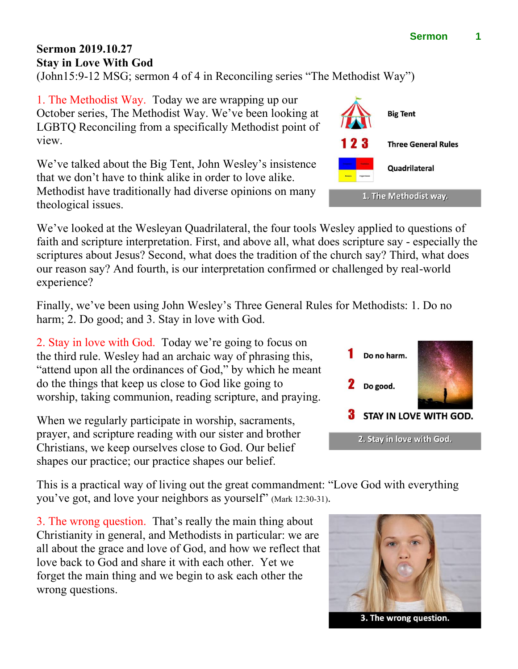## **Sermon 2019.10.27 Stay in Love With God**

(John15:9-12 MSG; sermon 4 of 4 in Reconciling series "The Methodist Way")

1. The Methodist Way. Today we are wrapping up our October series, The Methodist Way. We've been looking at LGBTQ Reconciling from a specifically Methodist point of view.

We've talked about the Big Tent, John Wesley's insistence that we don't have to think alike in order to love alike. Methodist have traditionally had diverse opinions on many theological issues.

We've looked at the Wesleyan Quadrilateral, the four tools Wesley applied to questions of faith and scripture interpretation. First, and above all, what does scripture say - especially the scriptures about Jesus? Second, what does the tradition of the church say? Third, what does our reason say? And fourth, is our interpretation confirmed or challenged by real-world experience?

Finally, we've been using John Wesley's Three General Rules for Methodists: 1. Do no harm; 2. Do good; and 3. Stay in love with God.

2. Stay in love with God. Today we're going to focus on the third rule. Wesley had an archaic way of phrasing this, "attend upon all the ordinances of God," by which he meant do the things that keep us close to God like going to worship, taking communion, reading scripture, and praying.

When we regularly participate in worship, sacraments, prayer, and scripture reading with our sister and brother Christians, we keep ourselves close to God. Our belief shapes our practice; our practice shapes our belief.

This is a practical way of living out the great commandment: "Love God with everything you've got, and love your neighbors as yourself" (Mark 12:30-31).

3. The wrong question. That's really the main thing about Christianity in general, and Methodists in particular: we are all about the grace and love of God, and how we reflect that love back to God and share it with each other. Yet we forget the main thing and we begin to ask each other the wrong questions.



3. The wrong question.



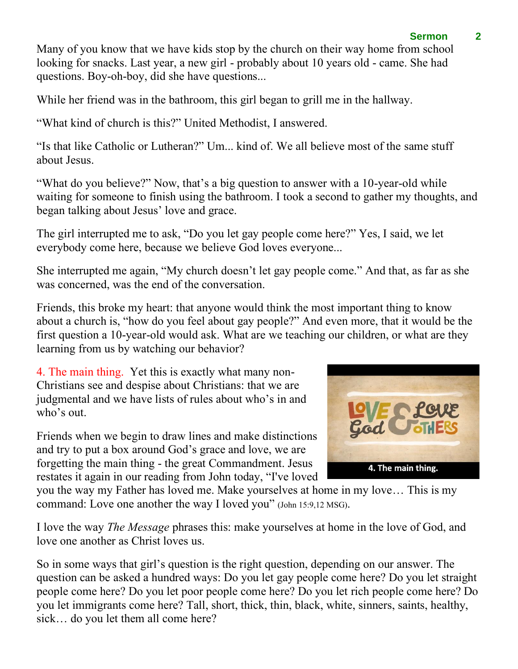## **Sermon 2**

Many of you know that we have kids stop by the church on their way home from school looking for snacks. Last year, a new girl - probably about 10 years old - came. She had questions. Boy-oh-boy, did she have questions...

While her friend was in the bathroom, this girl began to grill me in the hallway.

"What kind of church is this?" United Methodist, I answered.

"Is that like Catholic or Lutheran?" Um... kind of. We all believe most of the same stuff about Jesus.

"What do you believe?" Now, that's a big question to answer with a 10-year-old while waiting for someone to finish using the bathroom. I took a second to gather my thoughts, and began talking about Jesus' love and grace.

The girl interrupted me to ask, "Do you let gay people come here?" Yes, I said, we let everybody come here, because we believe God loves everyone...

She interrupted me again, "My church doesn't let gay people come." And that, as far as she was concerned, was the end of the conversation.

Friends, this broke my heart: that anyone would think the most important thing to know about a church is, "how do you feel about gay people?" And even more, that it would be the first question a 10-year-old would ask. What are we teaching our children, or what are they learning from us by watching our behavior?

4. The main thing. Yet this is exactly what many non-Christians see and despise about Christians: that we are judgmental and we have lists of rules about who's in and who's out.

Friends when we begin to draw lines and make distinctions and try to put a box around God's grace and love, we are forgetting the main thing - the great Commandment. Jesus restates it again in our reading from John today, "I've loved



you the way my Father has loved me. Make yourselves at home in my love… This is my command: Love one another the way I loved you" (John 15:9,12 MSG).

I love the way *The Message* phrases this: make yourselves at home in the love of God, and love one another as Christ loves us.

So in some ways that girl's question is the right question, depending on our answer. The question can be asked a hundred ways: Do you let gay people come here? Do you let straight people come here? Do you let poor people come here? Do you let rich people come here? Do you let immigrants come here? Tall, short, thick, thin, black, white, sinners, saints, healthy, sick… do you let them all come here?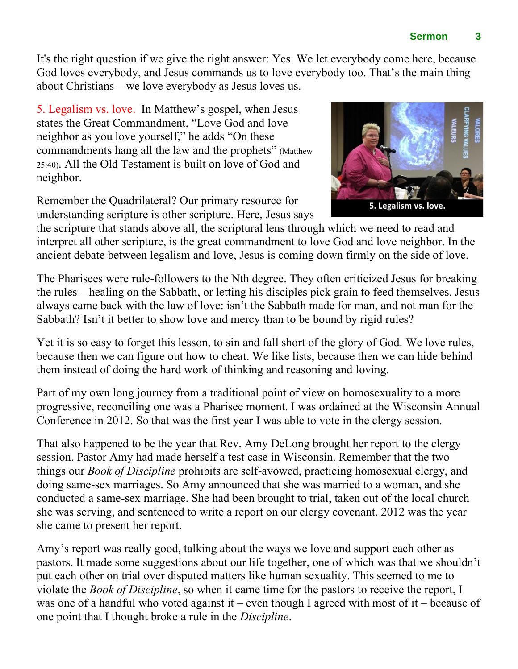It's the right question if we give the right answer: Yes. We let everybody come here, because God loves everybody, and Jesus commands us to love everybody too. That's the main thing about Christians – we love everybody as Jesus loves us.

5. Legalism vs. love. In Matthew's gospel, when Jesus states the Great Commandment, "Love God and love neighbor as you love yourself," he adds "On these commandments hang all the law and the prophets" (Matthew 25:40). All the Old Testament is built on love of God and neighbor.

Remember the Quadrilateral? Our primary resource for understanding scripture is other scripture. Here, Jesus says

the scripture that stands above all, the scriptural lens through which we need to read and interpret all other scripture, is the great commandment to love God and love neighbor. In the ancient debate between legalism and love, Jesus is coming down firmly on the side of love.

The Pharisees were rule-followers to the Nth degree. They often criticized Jesus for breaking the rules – healing on the Sabbath, or letting his disciples pick grain to feed themselves. Jesus always came back with the law of love: isn't the Sabbath made for man, and not man for the Sabbath? Isn't it better to show love and mercy than to be bound by rigid rules?

Yet it is so easy to forget this lesson, to sin and fall short of the glory of God. We love rules, because then we can figure out how to cheat. We like lists, because then we can hide behind them instead of doing the hard work of thinking and reasoning and loving.

Part of my own long journey from a traditional point of view on homosexuality to a more progressive, reconciling one was a Pharisee moment. I was ordained at the Wisconsin Annual Conference in 2012. So that was the first year I was able to vote in the clergy session.

That also happened to be the year that Rev. Amy DeLong brought her report to the clergy session. Pastor Amy had made herself a test case in Wisconsin. Remember that the two things our *Book of Discipline* prohibits are self-avowed, practicing homosexual clergy, and doing same-sex marriages. So Amy announced that she was married to a woman, and she conducted a same-sex marriage. She had been brought to trial, taken out of the local church she was serving, and sentenced to write a report on our clergy covenant. 2012 was the year she came to present her report.

Amy's report was really good, talking about the ways we love and support each other as pastors. It made some suggestions about our life together, one of which was that we shouldn't put each other on trial over disputed matters like human sexuality. This seemed to me to violate the *Book of Discipline*, so when it came time for the pastors to receive the report, I was one of a handful who voted against it – even though I agreed with most of it – because of one point that I thought broke a rule in the *Discipline*.

**Sermon 3**

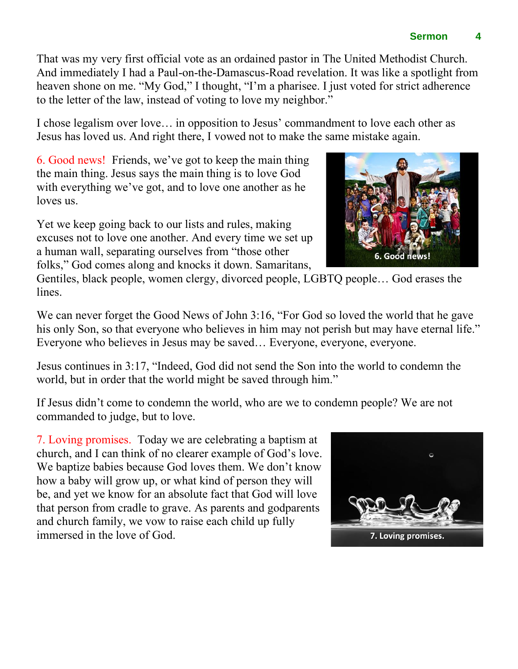That was my very first official vote as an ordained pastor in The United Methodist Church.

And immediately I had a Paul-on-the-Damascus-Road revelation. It was like a spotlight from heaven shone on me. "My God," I thought, "I'm a pharisee. I just voted for strict adherence to the letter of the law, instead of voting to love my neighbor."

I chose legalism over love… in opposition to Jesus' commandment to love each other as Jesus has loved us. And right there, I vowed not to make the same mistake again.

6. Good news! Friends, we've got to keep the main thing the main thing. Jesus says the main thing is to love God with everything we've got, and to love one another as he loves us.

Yet we keep going back to our lists and rules, making excuses not to love one another. And every time we set up a human wall, separating ourselves from "those other folks," God comes along and knocks it down. Samaritans,

Gentiles, black people, women clergy, divorced people, LGBTQ people… God erases the lines.

We can never forget the Good News of John 3:16, "For God so loved the world that he gave his only Son, so that everyone who believes in him may not perish but may have eternal life." Everyone who believes in Jesus may be saved… Everyone, everyone, everyone.

Jesus continues in 3:17, "Indeed, God did not send the Son into the world to condemn the world, but in order that the world might be saved through him."

If Jesus didn't come to condemn the world, who are we to condemn people? We are not commanded to judge, but to love.

7. Loving promises. Today we are celebrating a baptism at church, and I can think of no clearer example of God's love. We baptize babies because God loves them. We don't know how a baby will grow up, or what kind of person they will be, and yet we know for an absolute fact that God will love that person from cradle to grave. As parents and godparents and church family, we vow to raise each child up fully immersed in the love of God.





6. Good news!